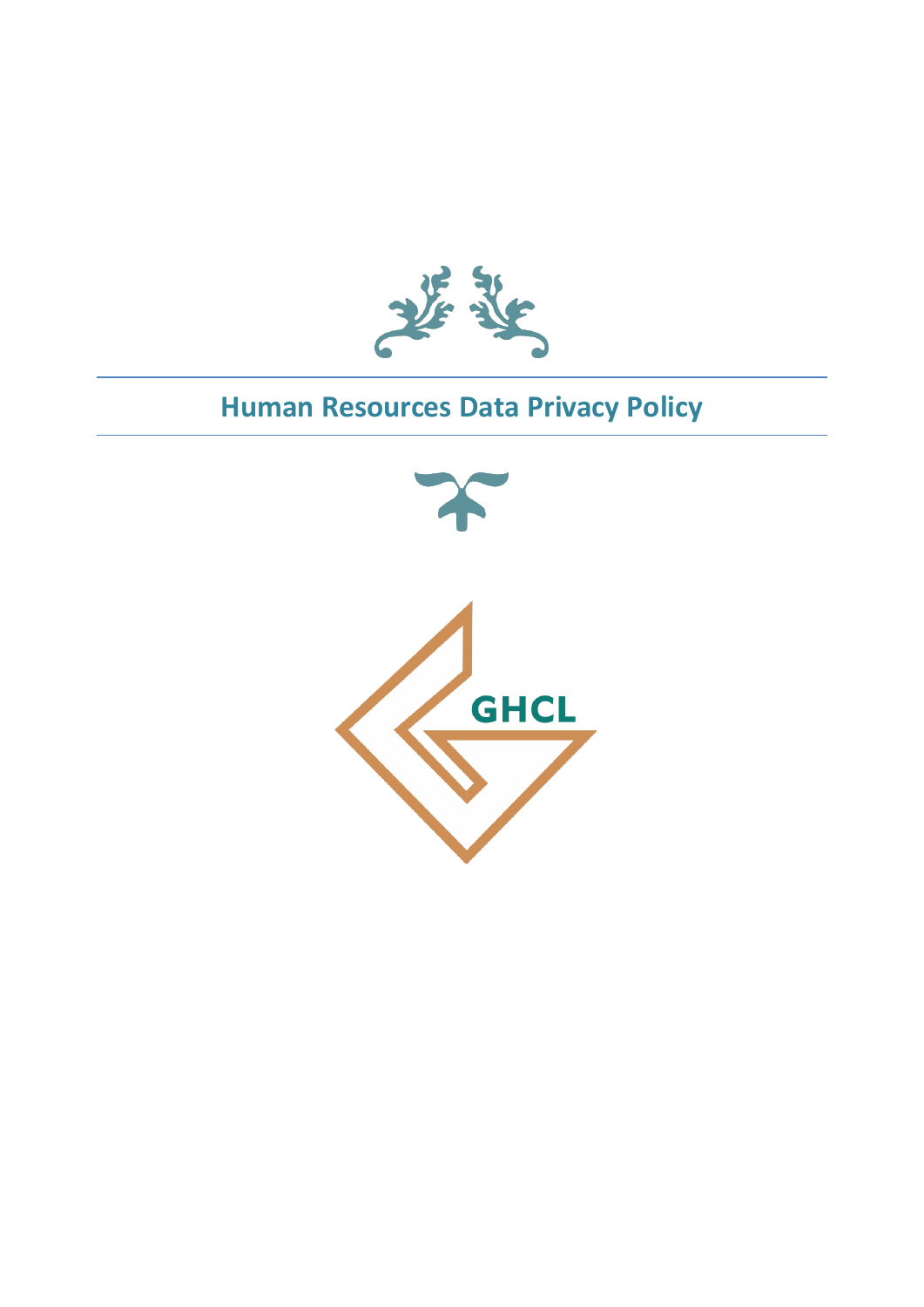

# **Human Resources Data Privacy Policy**

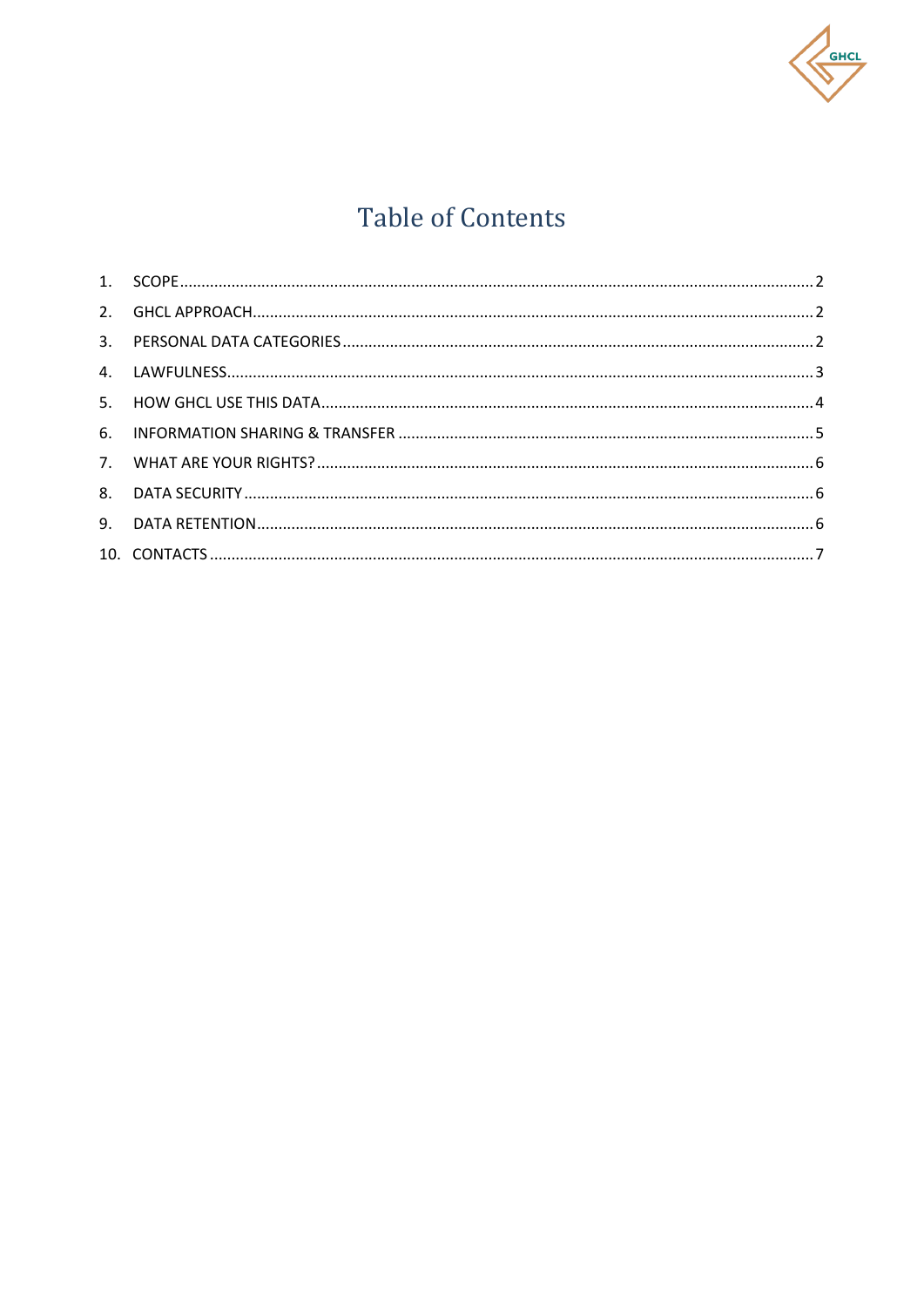

# **Table of Contents**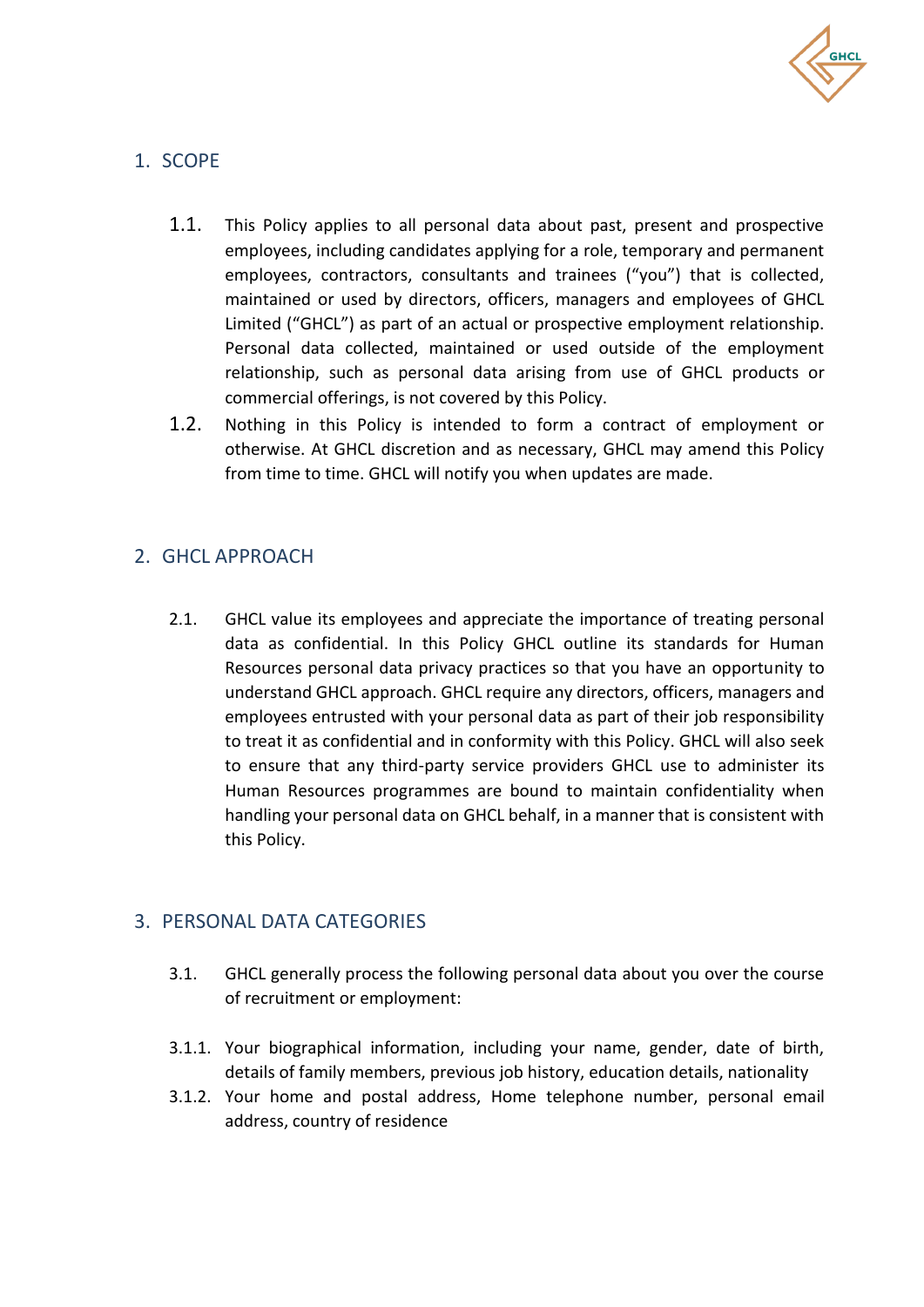

# <span id="page-2-0"></span>1. SCOPE

- 1.1. This Policy applies to all personal data about past, present and prospective employees, including candidates applying for a role, temporary and permanent employees, contractors, consultants and trainees ("you") that is collected, maintained or used by directors, officers, managers and employees of GHCL Limited ("GHCL") as part of an actual or prospective employment relationship. Personal data collected, maintained or used outside of the employment relationship, such as personal data arising from use of GHCL products or commercial offerings, is not covered by this Policy.
- 1.2. Nothing in this Policy is intended to form a contract of employment or otherwise. At GHCL discretion and as necessary, GHCL may amend this Policy from time to time. GHCL will notify you when updates are made.

## <span id="page-2-1"></span>2. GHCL APPROACH

2.1. GHCL value its employees and appreciate the importance of treating personal data as confidential. In this Policy GHCL outline its standards for Human Resources personal data privacy practices so that you have an opportunity to understand GHCL approach. GHCL require any directors, officers, managers and employees entrusted with your personal data as part of their job responsibility to treat it as confidential and in conformity with this Policy. GHCL will also seek to ensure that any third-party service providers GHCL use to administer its Human Resources programmes are bound to maintain confidentiality when handling your personal data on GHCL behalf, in a manner that is consistent with this Policy.

#### <span id="page-2-2"></span>3. PERSONAL DATA CATEGORIES

- 3.1. GHCL generally process the following personal data about you over the course of recruitment or employment:
- 3.1.1. Your biographical information, including your name, gender, date of birth, details of family members, previous job history, education details, nationality
- 3.1.2. Your home and postal address, Home telephone number, personal email address, country of residence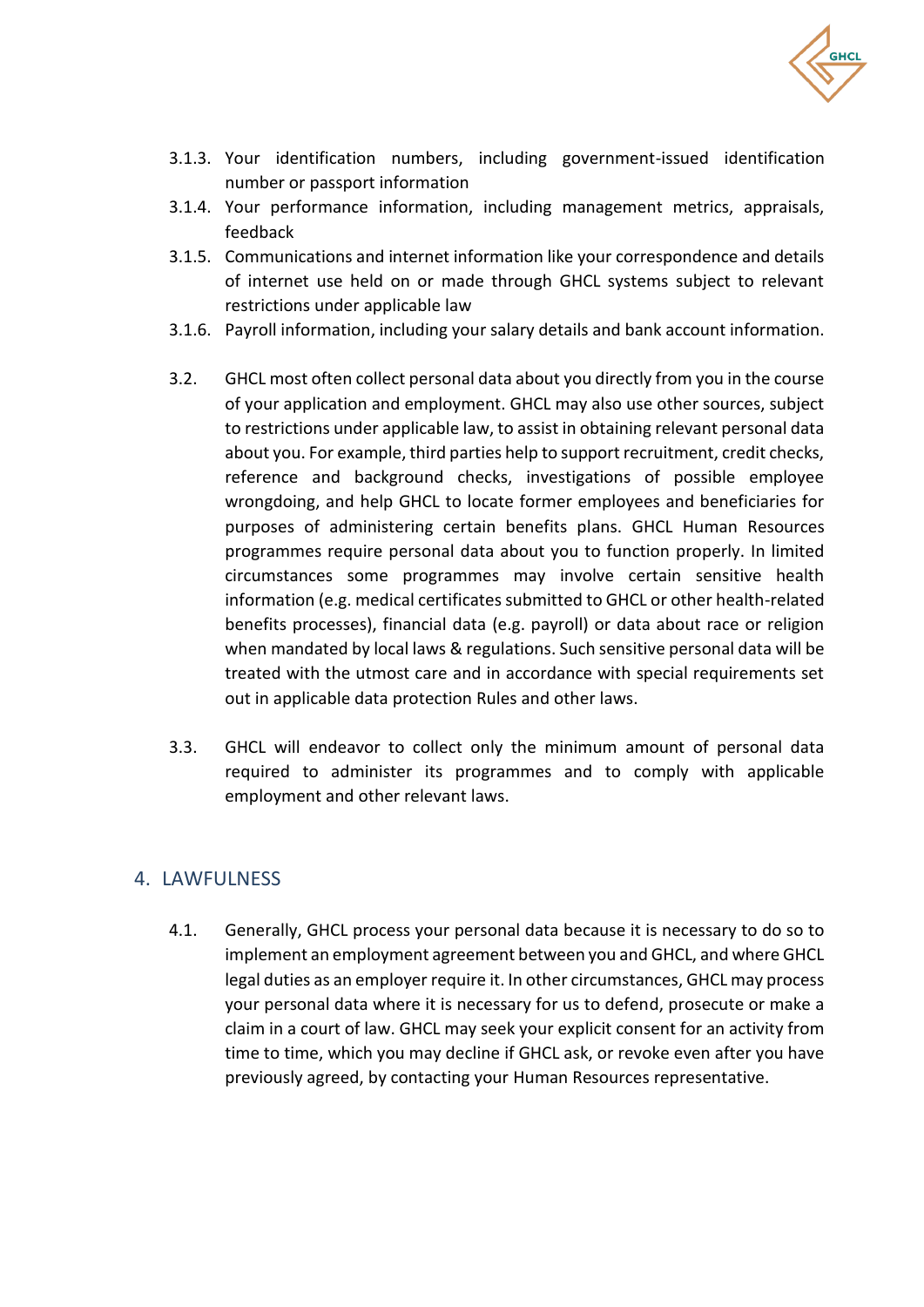

- 3.1.3. Your identification numbers, including government-issued identification number or passport information
- 3.1.4. Your performance information, including management metrics, appraisals, feedback
- 3.1.5. Communications and internet information like your correspondence and details of internet use held on or made through GHCL systems subject to relevant restrictions under applicable law
- 3.1.6. Payroll information, including your salary details and bank account information.
- 3.2. GHCL most often collect personal data about you directly from you in the course of your application and employment. GHCL may also use other sources, subject to restrictions under applicable law, to assist in obtaining relevant personal data about you. For example, third parties help to support recruitment, credit checks, reference and background checks, investigations of possible employee wrongdoing, and help GHCL to locate former employees and beneficiaries for purposes of administering certain benefits plans. GHCL Human Resources programmes require personal data about you to function properly. In limited circumstances some programmes may involve certain sensitive health information (e.g. medical certificates submitted to GHCL or other health-related benefits processes), financial data (e.g. payroll) or data about race or religion when mandated by local laws & regulations. Such sensitive personal data will be treated with the utmost care and in accordance with special requirements set out in applicable data protection Rules and other laws.
- 3.3. GHCL will endeavor to collect only the minimum amount of personal data required to administer its programmes and to comply with applicable employment and other relevant laws.

# <span id="page-3-0"></span>4. LAWFULNESS

4.1. Generally, GHCL process your personal data because it is necessary to do so to implement an employment agreement between you and GHCL, and where GHCL legal duties as an employer require it. In other circumstances, GHCL may process your personal data where it is necessary for us to defend, prosecute or make a claim in a court of law. GHCL may seek your explicit consent for an activity from time to time, which you may decline if GHCL ask, or revoke even after you have previously agreed, by contacting your Human Resources representative.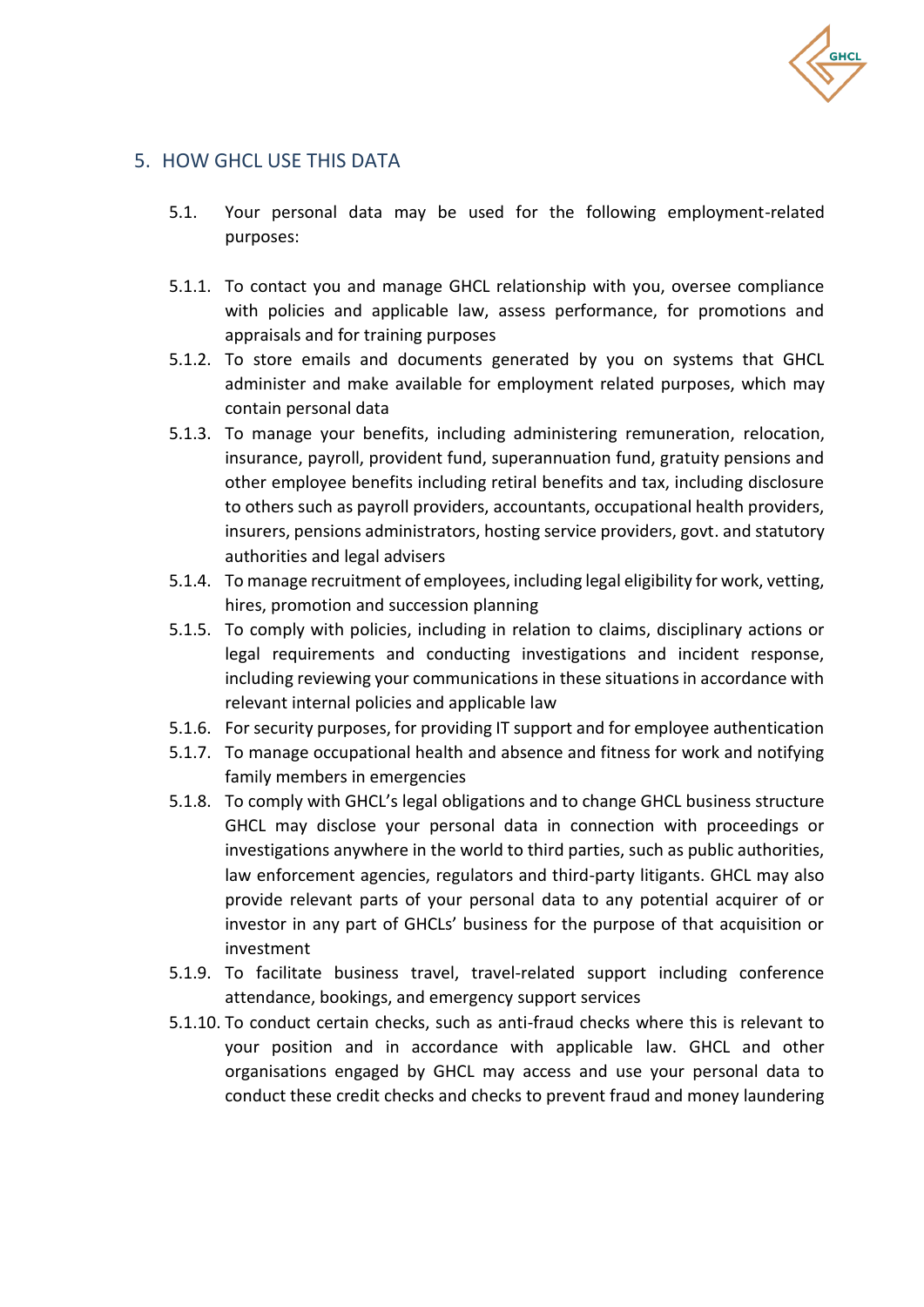

#### <span id="page-4-0"></span>5. HOW GHCL USE THIS DATA

- 5.1. Your personal data may be used for the following employment-related purposes:
- 5.1.1. To contact you and manage GHCL relationship with you, oversee compliance with policies and applicable law, assess performance, for promotions and appraisals and for training purposes
- 5.1.2. To store emails and documents generated by you on systems that GHCL administer and make available for employment related purposes, which may contain personal data
- 5.1.3. To manage your benefits, including administering remuneration, relocation, insurance, payroll, provident fund, superannuation fund, gratuity pensions and other employee benefits including retiral benefits and tax, including disclosure to others such as payroll providers, accountants, occupational health providers, insurers, pensions administrators, hosting service providers, govt. and statutory authorities and legal advisers
- 5.1.4. To manage recruitment of employees, including legal eligibility for work, vetting, hires, promotion and succession planning
- 5.1.5. To comply with policies, including in relation to claims, disciplinary actions or legal requirements and conducting investigations and incident response, including reviewing your communications in these situations in accordance with relevant internal policies and applicable law
- 5.1.6. For security purposes, for providing IT support and for employee authentication
- 5.1.7. To manage occupational health and absence and fitness for work and notifying family members in emergencies
- 5.1.8. To comply with GHCL's legal obligations and to change GHCL business structure GHCL may disclose your personal data in connection with proceedings or investigations anywhere in the world to third parties, such as public authorities, law enforcement agencies, regulators and third-party litigants. GHCL may also provide relevant parts of your personal data to any potential acquirer of or investor in any part of GHCLs' business for the purpose of that acquisition or investment
- 5.1.9. To facilitate business travel, travel-related support including conference attendance, bookings, and emergency support services
- 5.1.10. To conduct certain checks, such as anti-fraud checks where this is relevant to your position and in accordance with applicable law. GHCL and other organisations engaged by GHCL may access and use your personal data to conduct these credit checks and checks to prevent fraud and money laundering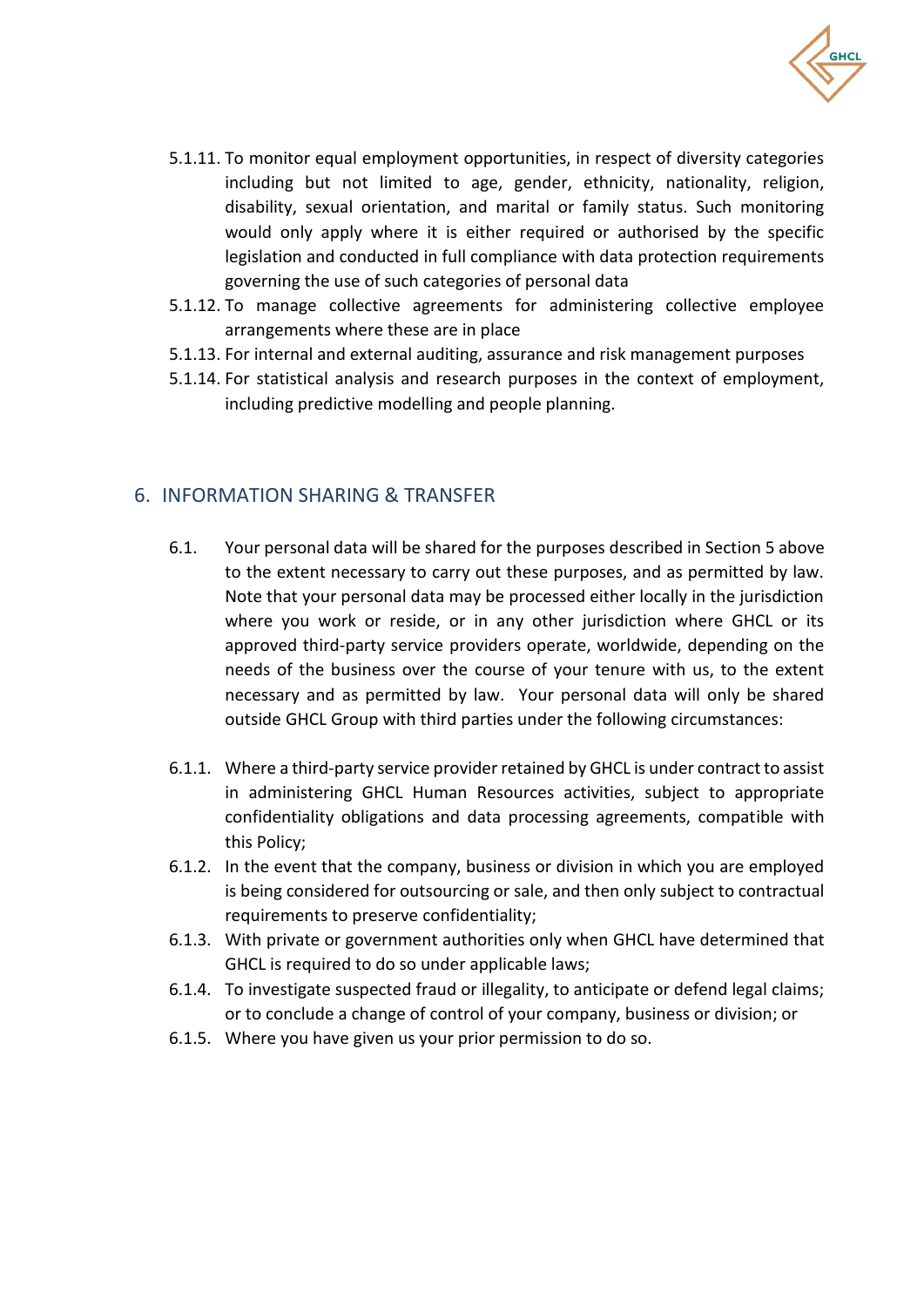

- 5.1.11. To monitor equal employment opportunities, in respect of diversity categories including but not limited to age, gender, ethnicity, nationality, religion, disability, sexual orientation, and marital or family status. Such monitoring would only apply where it is either required or authorised by the specific legislation and conducted in full compliance with data protection requirements governing the use of such categories of personal data
- 5.1.12. To manage collective agreements for administering collective employee arrangements where these are in place
- 5.1.13. For internal and external auditing, assurance and risk management purposes
- 5.1.14. For statistical analysis and research purposes in the context of employment, including predictive modelling and people planning.

#### <span id="page-5-0"></span>6. INFORMATION SHARING & TRANSFER

- 6.1. Your personal data will be shared for the purposes described in Section 5 above to the extent necessary to carry out these purposes, and as permitted by law. Note that your personal data may be processed either locally in the jurisdiction where you work or reside, or in any other jurisdiction where GHCL or its approved third-party service providers operate, worldwide, depending on the needs of the business over the course of your tenure with us, to the extent necessary and as permitted by law. Your personal data will only be shared outside GHCL Group with third parties under the following circumstances:
- 6.1.1. Where a third-party service provider retained by GHCL is under contract to assist in administering GHCL Human Resources activities, subject to appropriate confidentiality obligations and data processing agreements, compatible with this Policy;
- 6.1.2. In the event that the company, business or division in which you are employed is being considered for outsourcing or sale, and then only subject to contractual requirements to preserve confidentiality;
- 6.1.3. With private or government authorities only when GHCL have determined that GHCL is required to do so under applicable laws;
- 6.1.4. To investigate suspected fraud or illegality, to anticipate or defend legal claims; or to conclude a change of control of your company, business or division; or
- 6.1.5. Where you have given us your prior permission to do so.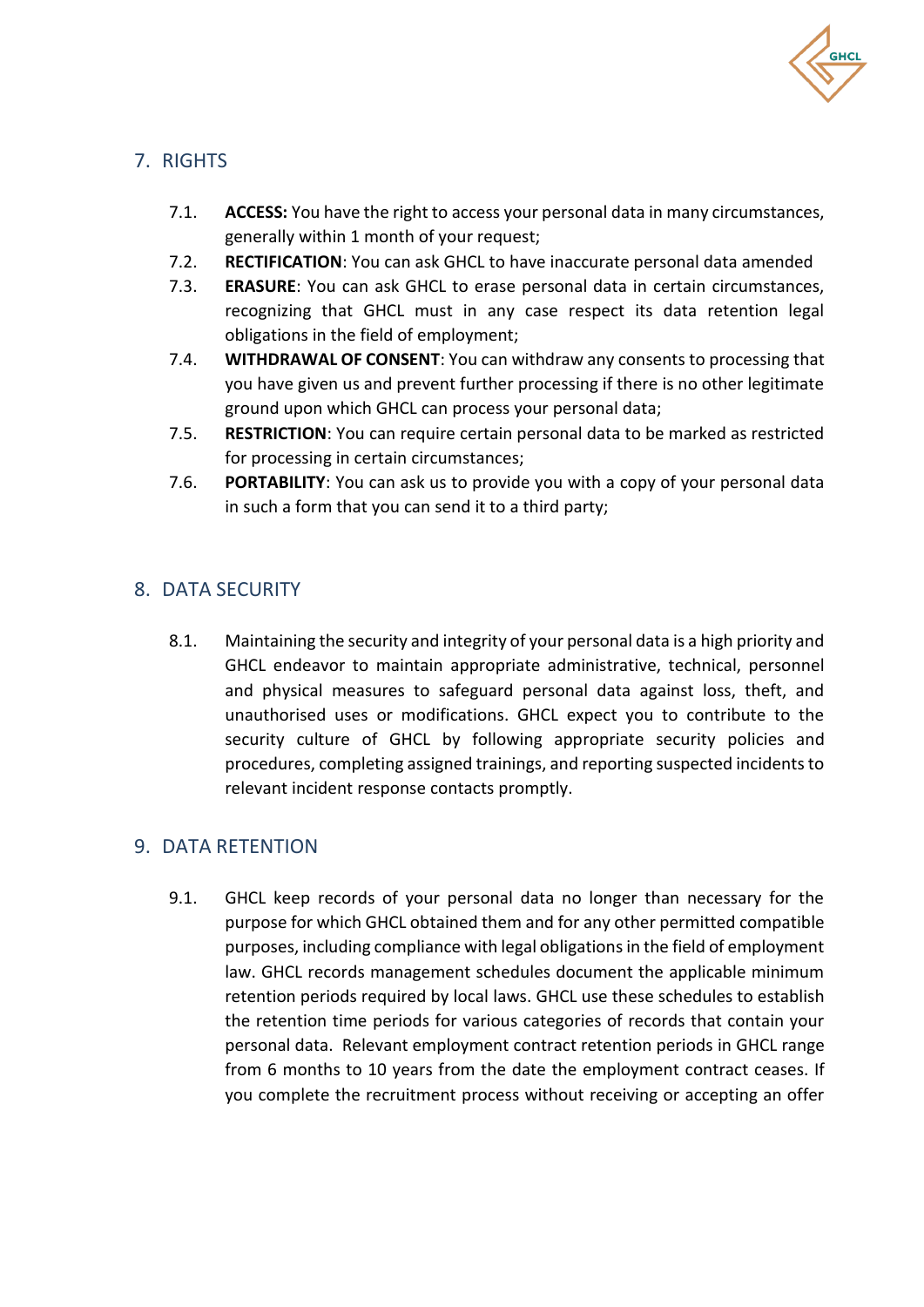

# <span id="page-6-0"></span>7. RIGHTS

- 7.1. **ACCESS:** You have the right to access your personal data in many circumstances, generally within 1 month of your request;
- 7.2. **RECTIFICATION**: You can ask GHCL to have inaccurate personal data amended
- 7.3. **ERASURE**: You can ask GHCL to erase personal data in certain circumstances, recognizing that GHCL must in any case respect its data retention legal obligations in the field of employment;
- 7.4. **WITHDRAWAL OF CONSENT**: You can withdraw any consents to processing that you have given us and prevent further processing if there is no other legitimate ground upon which GHCL can process your personal data;
- 7.5. **RESTRICTION**: You can require certain personal data to be marked as restricted for processing in certain circumstances;
- 7.6. **PORTABILITY**: You can ask us to provide you with a copy of your personal data in such a form that you can send it to a third party;

## <span id="page-6-1"></span>8. DATA SECURITY

8.1. Maintaining the security and integrity of your personal data is a high priority and GHCL endeavor to maintain appropriate administrative, technical, personnel and physical measures to safeguard personal data against loss, theft, and unauthorised uses or modifications. GHCL expect you to contribute to the security culture of GHCL by following appropriate security policies and procedures, completing assigned trainings, and reporting suspected incidents to relevant incident response contacts promptly.

#### <span id="page-6-2"></span>9. DATA RETENTION

9.1. GHCL keep records of your personal data no longer than necessary for the purpose for which GHCL obtained them and for any other permitted compatible purposes, including compliance with legal obligations in the field of employment law. GHCL records management schedules document the applicable minimum retention periods required by local laws. GHCL use these schedules to establish the retention time periods for various categories of records that contain your personal data. Relevant employment contract retention periods in GHCL range from 6 months to 10 years from the date the employment contract ceases. If you complete the recruitment process without receiving or accepting an offer